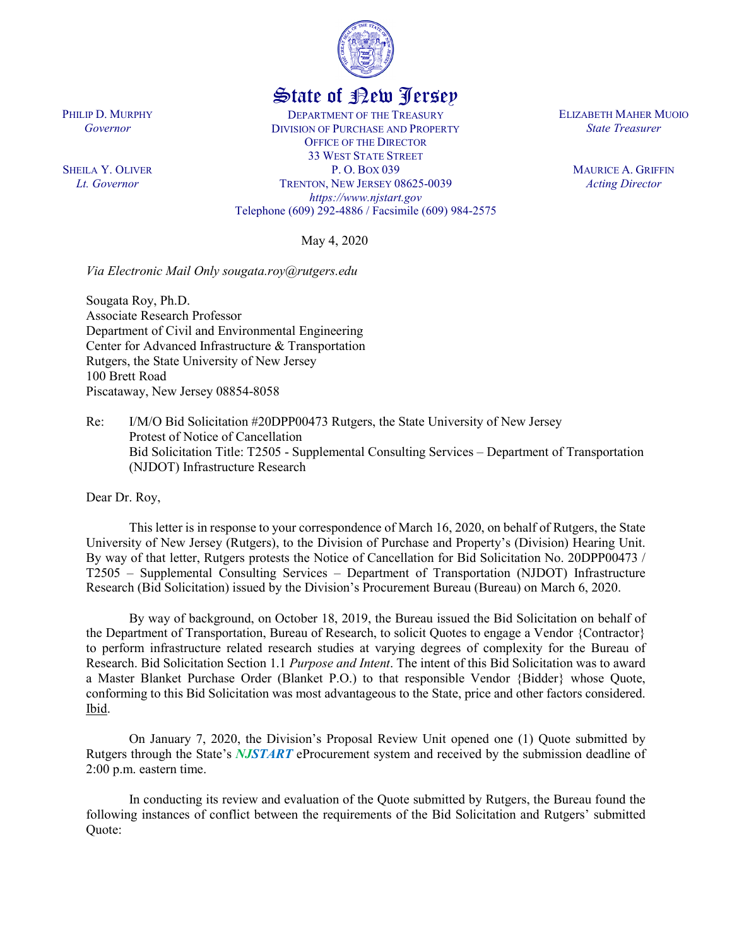

## State of New Jersey

DEPARTMENT OF THE TREASURY DIVISION OF PURCHASE AND PROPERTY OFFICE OF THE DIRECTOR 33 WEST STATE STREET P. O. BOX 039 TRENTON, NEW JERSEY 08625-0039 *https://www.njstart.gov* Telephone (609) 292-4886 / Facsimile (609) 984-2575

May 4, 2020

*Via Electronic Mail Only sougata.roy@rutgers.edu*

Sougata Roy, Ph.D. Associate Research Professor Department of Civil and Environmental Engineering Center for Advanced Infrastructure & Transportation Rutgers, the State University of New Jersey 100 Brett Road Piscataway, New Jersey 08854-8058

Re: I/M/O Bid Solicitation #20DPP00473 Rutgers, the State University of New Jersey Protest of Notice of Cancellation Bid Solicitation Title: T2505 - Supplemental Consulting Services – Department of Transportation (NJDOT) Infrastructure Research

Dear Dr. Roy,

This letter is in response to your correspondence of March 16, 2020, on behalf of Rutgers, the State University of New Jersey (Rutgers), to the Division of Purchase and Property's (Division) Hearing Unit. By way of that letter, Rutgers protests the Notice of Cancellation for Bid Solicitation No. 20DPP00473 / T2505 – Supplemental Consulting Services – Department of Transportation (NJDOT) Infrastructure Research (Bid Solicitation) issued by the Division's Procurement Bureau (Bureau) on March 6, 2020.

By way of background, on October 18, 2019, the Bureau issued the Bid Solicitation on behalf of the Department of Transportation, Bureau of Research, to solicit Quotes to engage a Vendor {Contractor} to perform infrastructure related research studies at varying degrees of complexity for the Bureau of Research. Bid Solicitation Section 1.1 *Purpose and Intent*. The intent of this Bid Solicitation was to award a Master Blanket Purchase Order (Blanket P.O.) to that responsible Vendor {Bidder} whose Quote, conforming to this Bid Solicitation was most advantageous to the State, price and other factors considered. Ibid.

On January 7, 2020, the Division's Proposal Review Unit opened one (1) Quote submitted by Rutgers through the State's *NJSTART* eProcurement system and received by the submission deadline of 2:00 p.m. eastern time.

In conducting its review and evaluation of the Quote submitted by Rutgers, the Bureau found the following instances of conflict between the requirements of the Bid Solicitation and Rutgers' submitted Quote:

PHILIP D. MURPHY *Governor*

SHEILA Y. OLIVER *Lt. Governor*

ELIZABETH MAHER MUOIO *State Treasurer*

> MAURICE A. GRIFFIN *Acting Director*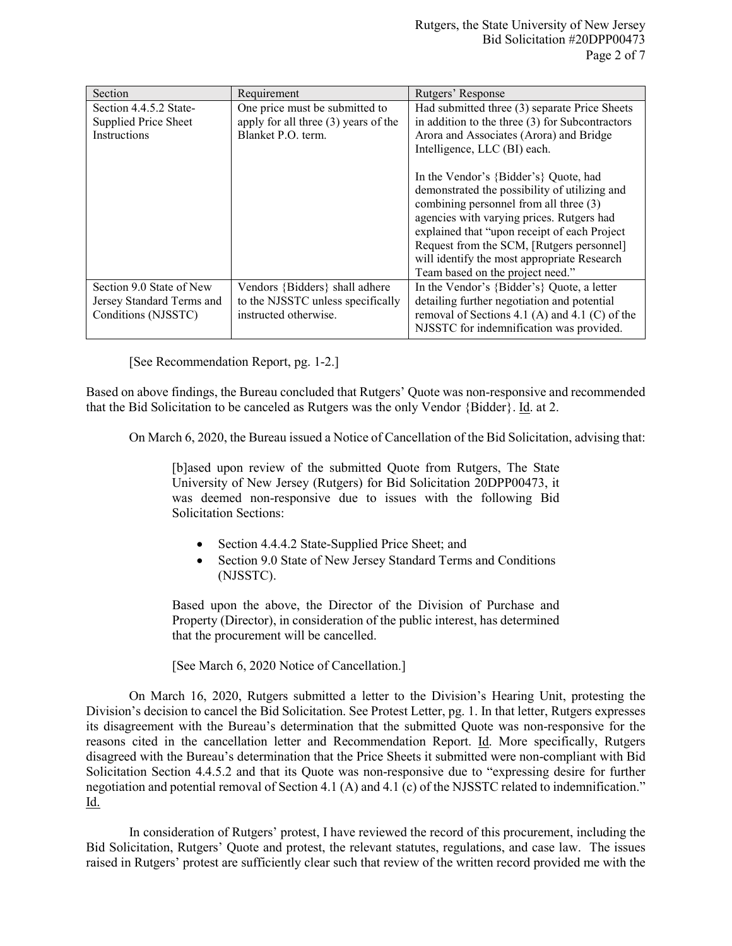| Section                                                                      | Requirement                                                                                    | Rutgers' Response                                                                                                                                                                                                                                                                                                                                             |
|------------------------------------------------------------------------------|------------------------------------------------------------------------------------------------|---------------------------------------------------------------------------------------------------------------------------------------------------------------------------------------------------------------------------------------------------------------------------------------------------------------------------------------------------------------|
| Section 4.4.5.2 State-<br>Supplied Price Sheet<br>Instructions               | One price must be submitted to<br>apply for all three $(3)$ years of the<br>Blanket P.O. term. | Had submitted three (3) separate Price Sheets<br>in addition to the three $(3)$ for Subcontractors<br>Arora and Associates (Arora) and Bridge<br>Intelligence, LLC (BI) each.                                                                                                                                                                                 |
|                                                                              |                                                                                                | In the Vendor's {Bidder's} Quote, had<br>demonstrated the possibility of utilizing and<br>combining personnel from all three (3)<br>agencies with varying prices. Rutgers had<br>explained that "upon receipt of each Project<br>Request from the SCM, [Rutgers personnel]<br>will identify the most appropriate Research<br>Team based on the project need." |
| Section 9.0 State of New<br>Jersey Standard Terms and<br>Conditions (NJSSTC) | Vendors {Bidders} shall adhere<br>to the NJSSTC unless specifically<br>instructed otherwise.   | In the Vendor's {Bidder's} Quote, a letter<br>detailing further negotiation and potential<br>removal of Sections 4.1 (A) and 4.1 (C) of the<br>NJSSTC for indemnification was provided.                                                                                                                                                                       |

[See Recommendation Report, pg. 1-2.]

Based on above findings, the Bureau concluded that Rutgers' Quote was non-responsive and recommended that the Bid Solicitation to be canceled as Rutgers was the only Vendor {Bidder}. Id. at 2.

On March 6, 2020, the Bureau issued a Notice of Cancellation of the Bid Solicitation, advising that:

[b]ased upon review of the submitted Quote from Rutgers, The State University of New Jersey (Rutgers) for Bid Solicitation 20DPP00473, it was deemed non-responsive due to issues with the following Bid Solicitation Sections:

- Section 4.4.4.2 State-Supplied Price Sheet; and
- Section 9.0 State of New Jersey Standard Terms and Conditions (NJSSTC).

Based upon the above, the Director of the Division of Purchase and Property (Director), in consideration of the public interest, has determined that the procurement will be cancelled.

[See March 6, 2020 Notice of Cancellation.]

On March 16, 2020, Rutgers submitted a letter to the Division's Hearing Unit, protesting the Division's decision to cancel the Bid Solicitation. See Protest Letter, pg. 1. In that letter, Rutgers expresses its disagreement with the Bureau's determination that the submitted Quote was non-responsive for the reasons cited in the cancellation letter and Recommendation Report. Id. More specifically, Rutgers disagreed with the Bureau's determination that the Price Sheets it submitted were non-compliant with Bid Solicitation Section 4.4.5.2 and that its Quote was non-responsive due to "expressing desire for further negotiation and potential removal of Section 4.1 (A) and 4.1 (c) of the NJSSTC related to indemnification." Id.

In consideration of Rutgers' protest, I have reviewed the record of this procurement, including the Bid Solicitation, Rutgers' Quote and protest, the relevant statutes, regulations, and case law. The issues raised in Rutgers' protest are sufficiently clear such that review of the written record provided me with the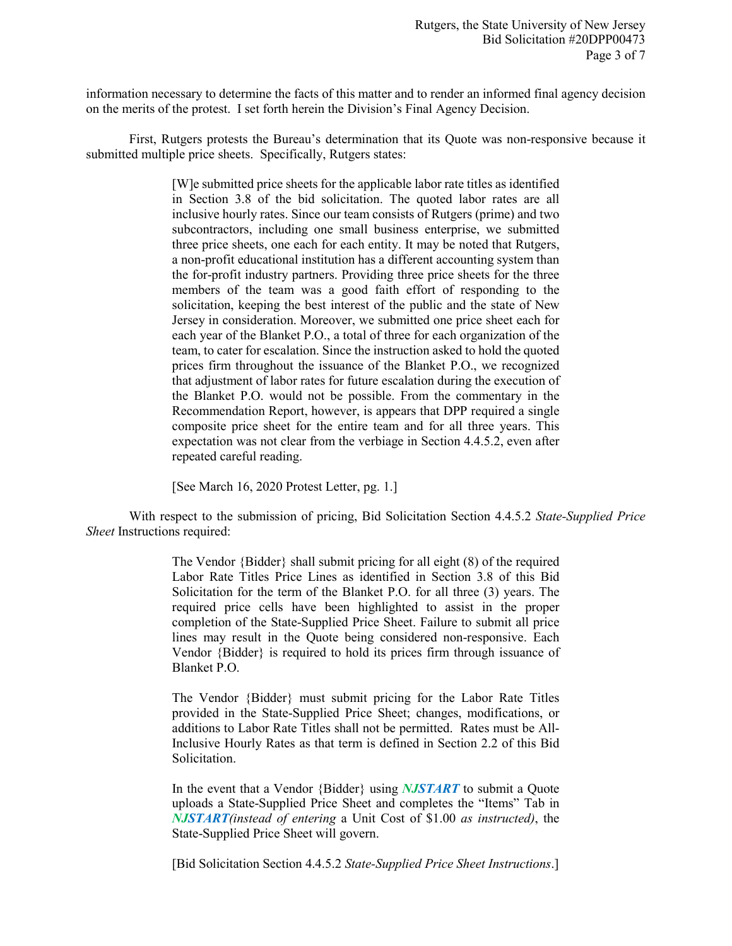information necessary to determine the facts of this matter and to render an informed final agency decision on the merits of the protest. I set forth herein the Division's Final Agency Decision.

First, Rutgers protests the Bureau's determination that its Quote was non-responsive because it submitted multiple price sheets. Specifically, Rutgers states:

> [W]e submitted price sheets for the applicable labor rate titles as identified in Section 3.8 of the bid solicitation. The quoted labor rates are all inclusive hourly rates. Since our team consists of Rutgers (prime) and two subcontractors, including one small business enterprise, we submitted three price sheets, one each for each entity. It may be noted that Rutgers, a non-profit educational institution has a different accounting system than the for-profit industry partners. Providing three price sheets for the three members of the team was a good faith effort of responding to the solicitation, keeping the best interest of the public and the state of New Jersey in consideration. Moreover, we submitted one price sheet each for each year of the Blanket P.O., a total of three for each organization of the team, to cater for escalation. Since the instruction asked to hold the quoted prices firm throughout the issuance of the Blanket P.O., we recognized that adjustment of labor rates for future escalation during the execution of the Blanket P.O. would not be possible. From the commentary in the Recommendation Report, however, is appears that DPP required a single composite price sheet for the entire team and for all three years. This expectation was not clear from the verbiage in Section 4.4.5.2, even after repeated careful reading.

[See March 16, 2020 Protest Letter, pg. 1.]

With respect to the submission of pricing, Bid Solicitation Section 4.4.5.2 *State-Supplied Price Sheet* Instructions required:

> The Vendor {Bidder} shall submit pricing for all eight (8) of the required Labor Rate Titles Price Lines as identified in Section 3.8 of this Bid Solicitation for the term of the Blanket P.O. for all three (3) years. The required price cells have been highlighted to assist in the proper completion of the State-Supplied Price Sheet. Failure to submit all price lines may result in the Quote being considered non-responsive. Each Vendor {Bidder} is required to hold its prices firm through issuance of Blanket P.O.

> The Vendor {Bidder} must submit pricing for the Labor Rate Titles provided in the State-Supplied Price Sheet; changes, modifications, or additions to Labor Rate Titles shall not be permitted. Rates must be All-Inclusive Hourly Rates as that term is defined in Section 2.2 of this Bid Solicitation.

> In the event that a Vendor {Bidder} using *NJSTART* to submit a Quote uploads a State-Supplied Price Sheet and completes the "Items" Tab in *NJSTART(instead of entering* a Unit Cost of \$1.00 *as instructed)*, the State-Supplied Price Sheet will govern.

> [Bid Solicitation Section 4.4.5.2 *State-Supplied Price Sheet Instructions*.]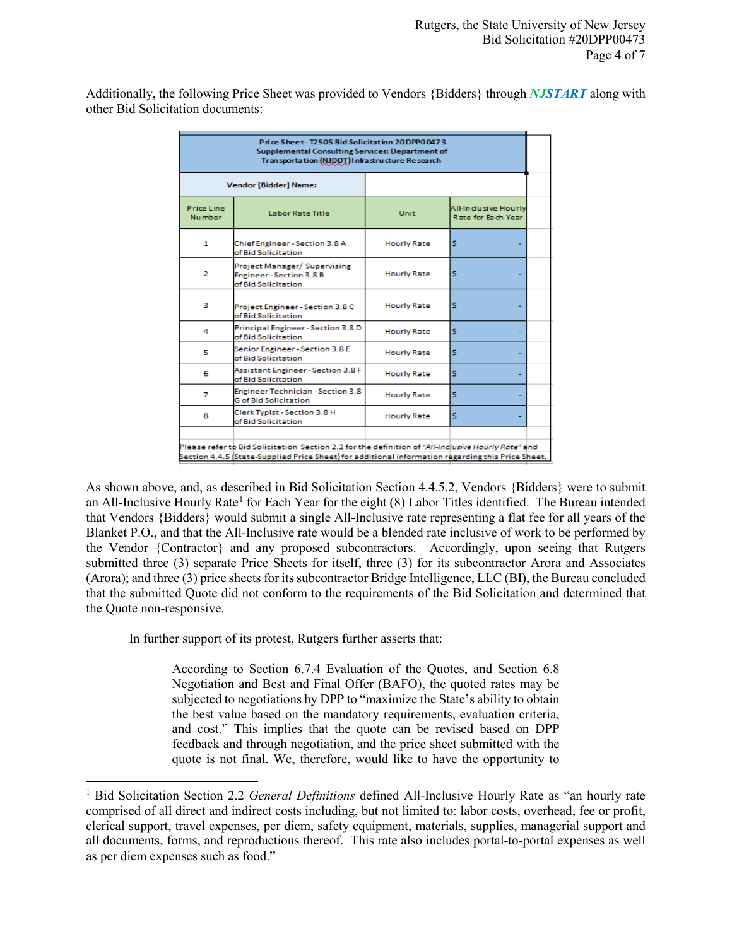Additionally, the following Price Sheet was provided to Vendors {Bidders} through *NJSTART* along with other Bid Solicitation documents:

| Price Sheet-T2505 Bid Solicitation 20DPP00473<br><b>Supplemental Consulting Services: Department of</b><br>Transportation (NJDOT) Infrastructure Research |                                                                                      |                    |                                             |  |  |  |  |
|-----------------------------------------------------------------------------------------------------------------------------------------------------------|--------------------------------------------------------------------------------------|--------------------|---------------------------------------------|--|--|--|--|
|                                                                                                                                                           | Vendor {Bidder} Name:                                                                |                    |                                             |  |  |  |  |
| Price Line<br><b>Number</b>                                                                                                                               | Labor Rate Title                                                                     | Unit               | All-In clusive Hourly<br>Rate for Each Year |  |  |  |  |
| 1                                                                                                                                                         | Chief Engineer - Section 3.8 A<br>of Bid Solicitation                                | <b>Hourly Rate</b> | s                                           |  |  |  |  |
| $\overline{2}$                                                                                                                                            | Project Manager/ Supervising<br><b>Engineer-Section 3.8 B</b><br>of Bid Solicitation | <b>Hourly Rate</b> | s                                           |  |  |  |  |
| з                                                                                                                                                         | Project Engineer - Section 3.8 C<br>of Bid Solicitation                              | <b>Hourly Rate</b> | s                                           |  |  |  |  |
| 4                                                                                                                                                         | Principal Engineer - Section 3.8 D<br>of Bid Solicitation                            | <b>Hourly Rate</b> | Ś                                           |  |  |  |  |
| 5                                                                                                                                                         | Senior Engineer - Section 3.8 E<br>of Bid Solicitation                               | <b>Hourly Rate</b> | Ś                                           |  |  |  |  |
| 6                                                                                                                                                         | Assistant Engineer - Section 3.8 F<br>of Bid Solicitation                            | <b>Hourly Rate</b> | s                                           |  |  |  |  |
| 7                                                                                                                                                         | <b>Engineer Technician - Section 3.8</b><br><b>G</b> of <b>Bid Solicitation</b>      | <b>Hourly Rate</b> | s                                           |  |  |  |  |
| 8                                                                                                                                                         | Clerk Typist - Section 3.8 H<br>of Bid Solicitation                                  | <b>Hourly Rate</b> | s                                           |  |  |  |  |
|                                                                                                                                                           |                                                                                      |                    |                                             |  |  |  |  |
| Please refer to Bid Solicitation Section 2.2 for the definition of "All-Inclusive Hourly Rate" and                                                        |                                                                                      |                    |                                             |  |  |  |  |
| . Section 4.4.5 (State-Supplied Price Sheet) for additional information regarding this Price Sheet                                                        |                                                                                      |                    |                                             |  |  |  |  |

As shown above, and, as described in Bid Solicitation Section 4.4.5.2, Vendors {Bidders} were to submit an All-Inclusive Hourly Rate<sup>[1](#page-3-0)</sup> for Each Year for the eight  $(8)$  Labor Titles identified. The Bureau intended that Vendors {Bidders} would submit a single All-Inclusive rate representing a flat fee for all years of the Blanket P.O., and that the All-Inclusive rate would be a blended rate inclusive of work to be performed by the Vendor {Contractor} and any proposed subcontractors. Accordingly, upon seeing that Rutgers submitted three (3) separate Price Sheets for itself, three (3) for its subcontractor Arora and Associates (Arora); and three (3) price sheets for its subcontractor Bridge Intelligence, LLC (BI), the Bureau concluded that the submitted Quote did not conform to the requirements of the Bid Solicitation and determined that the Quote non-responsive.

In further support of its protest, Rutgers further asserts that:

 $\overline{a}$ 

According to Section 6.7.4 Evaluation of the Quotes, and Section 6.8 Negotiation and Best and Final Offer (BAFO), the quoted rates may be subjected to negotiations by DPP to "maximize the State's ability to obtain the best value based on the mandatory requirements, evaluation criteria, and cost." This implies that the quote can be revised based on DPP feedback and through negotiation, and the price sheet submitted with the quote is not final. We, therefore, would like to have the opportunity to

<span id="page-3-0"></span><sup>&</sup>lt;sup>1</sup> Bid Solicitation Section 2.2 *General Definitions* defined All-Inclusive Hourly Rate as "an hourly rate comprised of all direct and indirect costs including, but not limited to: labor costs, overhead, fee or profit, clerical support, travel expenses, per diem, safety equipment, materials, supplies, managerial support and all documents, forms, and reproductions thereof. This rate also includes portal-to-portal expenses as well as per diem expenses such as food."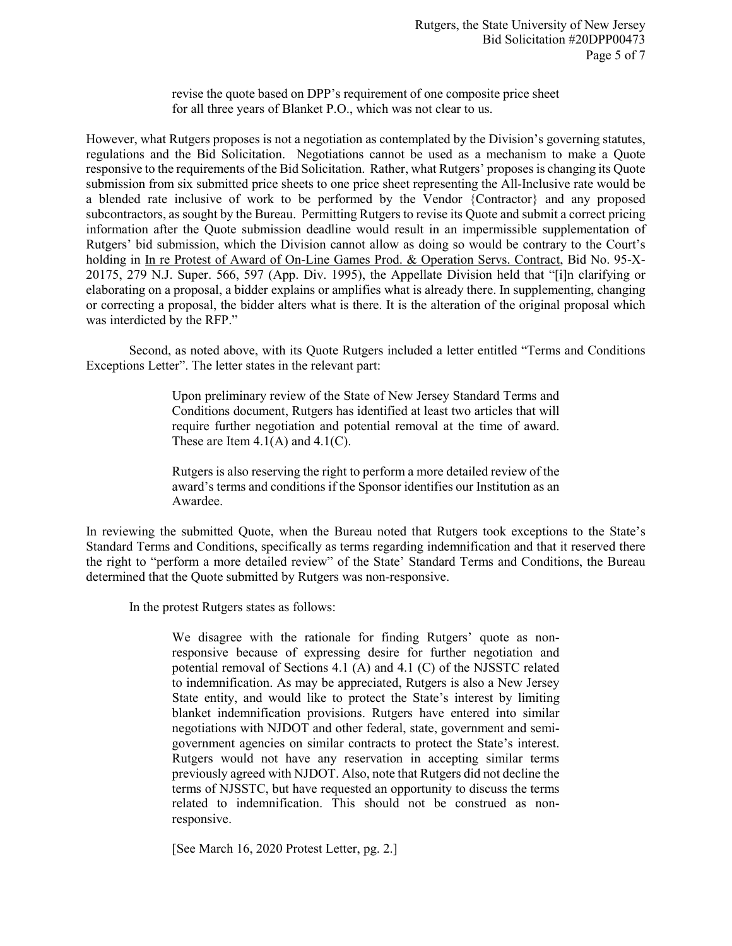revise the quote based on DPP's requirement of one composite price sheet for all three years of Blanket P.O., which was not clear to us.

However, what Rutgers proposes is not a negotiation as contemplated by the Division's governing statutes, regulations and the Bid Solicitation. Negotiations cannot be used as a mechanism to make a Quote responsive to the requirements of the Bid Solicitation. Rather, what Rutgers' proposes is changing its Quote submission from six submitted price sheets to one price sheet representing the All-Inclusive rate would be a blended rate inclusive of work to be performed by the Vendor {Contractor} and any proposed subcontractors, as sought by the Bureau. Permitting Rutgers to revise its Quote and submit a correct pricing information after the Quote submission deadline would result in an impermissible supplementation of Rutgers' bid submission, which the Division cannot allow as doing so would be contrary to the Court's holding in In re Protest of Award of On-Line Games Prod. & Operation Servs. Contract, Bid No. 95-X-20175, 279 N.J. Super. 566, 597 (App. Div. 1995), the Appellate Division held that "[i]n clarifying or elaborating on a proposal, a bidder explains or amplifies what is already there. In supplementing, changing or correcting a proposal, the bidder alters what is there. It is the alteration of the original proposal which was interdicted by the RFP."

Second, as noted above, with its Quote Rutgers included a letter entitled "Terms and Conditions Exceptions Letter". The letter states in the relevant part:

> Upon preliminary review of the State of New Jersey Standard Terms and Conditions document, Rutgers has identified at least two articles that will require further negotiation and potential removal at the time of award. These are Item  $4.1(A)$  and  $4.1(C)$ .

> Rutgers is also reserving the right to perform a more detailed review of the award's terms and conditions if the Sponsor identifies our Institution as an Awardee.

In reviewing the submitted Quote, when the Bureau noted that Rutgers took exceptions to the State's Standard Terms and Conditions, specifically as terms regarding indemnification and that it reserved there the right to "perform a more detailed review" of the State' Standard Terms and Conditions, the Bureau determined that the Quote submitted by Rutgers was non-responsive.

In the protest Rutgers states as follows:

We disagree with the rationale for finding Rutgers' quote as nonresponsive because of expressing desire for further negotiation and potential removal of Sections 4.1 (A) and 4.1 (C) of the NJSSTC related to indemnification. As may be appreciated, Rutgers is also a New Jersey State entity, and would like to protect the State's interest by limiting blanket indemnification provisions. Rutgers have entered into similar negotiations with NJDOT and other federal, state, government and semigovernment agencies on similar contracts to protect the State's interest. Rutgers would not have any reservation in accepting similar terms previously agreed with NJDOT. Also, note that Rutgers did not decline the terms of NJSSTC, but have requested an opportunity to discuss the terms related to indemnification. This should not be construed as nonresponsive.

[See March 16, 2020 Protest Letter, pg. 2.]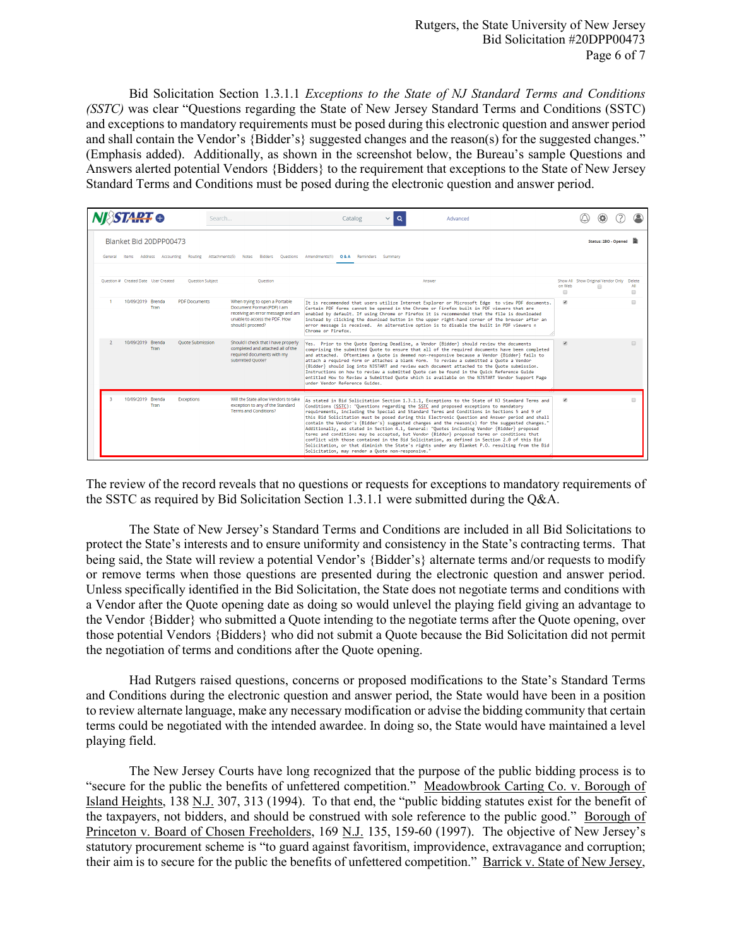Bid Solicitation Section 1.3.1.1 *Exceptions to the State of NJ Standard Terms and Conditions (SSTC)* was clear "Questions regarding the State of New Jersey Standard Terms and Conditions (SSTC) and exceptions to mandatory requirements must be posed during this electronic question and answer period and shall contain the Vendor's {Bidder's} suggested changes and the reason(s) for the suggested changes." (Emphasis added). Additionally, as shown in the screenshot below, the Bureau's sample Questions and Answers alerted potential Vendors {Bidders} to the requirement that exceptions to the State of New Jersey Standard Terms and Conditions must be posed during the electronic question and answer period.

|                                                                                                                                                           | STAR <del>T</del> o |                                      |                         | Search                                                                                                                                                   | $\alpha$<br>Catalog<br>$\checkmark$<br>Advanced                                                                                                                                                                                                                                                                                                                                                                                                                                                                                                                                                                                                                                                                                                                                                                                                                                                                                                      |                                                                      |                        |                    |
|-----------------------------------------------------------------------------------------------------------------------------------------------------------|---------------------|--------------------------------------|-------------------------|----------------------------------------------------------------------------------------------------------------------------------------------------------|------------------------------------------------------------------------------------------------------------------------------------------------------------------------------------------------------------------------------------------------------------------------------------------------------------------------------------------------------------------------------------------------------------------------------------------------------------------------------------------------------------------------------------------------------------------------------------------------------------------------------------------------------------------------------------------------------------------------------------------------------------------------------------------------------------------------------------------------------------------------------------------------------------------------------------------------------|----------------------------------------------------------------------|------------------------|--------------------|
| Blanket Bid 20DPP00473<br>Attachments(5) Notes Bidders Ouestions Amendments(1) Q&A Reminders Summary<br>Routing<br>Address Accounting<br>General<br>Items |                     |                                      |                         |                                                                                                                                                          |                                                                                                                                                                                                                                                                                                                                                                                                                                                                                                                                                                                                                                                                                                                                                                                                                                                                                                                                                      |                                                                      | Status: 2BO - Opened 冒 |                    |
|                                                                                                                                                           |                     | Question # Created Date User Created | <b>Ouestion Subject</b> | Ouestion                                                                                                                                                 | Answer                                                                                                                                                                                                                                                                                                                                                                                                                                                                                                                                                                                                                                                                                                                                                                                                                                                                                                                                               | Show All Show Original Vendor Only<br>on Web<br>$\qquad \qquad \Box$ | $\Box$                 | Delete<br>All<br>m |
|                                                                                                                                                           | 10/09/2019 Brenda   | <b>Tran</b>                          | <b>PDF Documents</b>    | When trying to open a Portable<br>Document Format (PDF) I am<br>receiving an error message and am<br>unable to access the PDF. How-<br>should I proceed? | It is recommended that users utilize Internet Explorer or Microsoft Edge to view PDF documents.<br>Certain PDF forms cannot be opened in the Chrome or Firefox built in PDF viewers that are<br>enabled by default. If using Chrome or Firefox it is recommended that the file is downloaded<br>instead by clicking the download button in the upper right-hand corner of the browser after an<br>error message is received. An alternative option is to disable the built in PDF viewers n<br>Chrome or Firefox.                                                                                                                                                                                                                                                                                                                                                                                                                                    | $\overline{\mathbf{v}}$                                              |                        | m                  |
|                                                                                                                                                           | 10/09/2019 Brenda   | <b>Tran</b>                          | <b>Ouote Submission</b> | Should I check that I have properly<br>completed and attached all of the<br>required documents with my<br>submitted Ouote?                               | Yes. Prior to the Quote Opening Deadline, a Vendor (Bidder) should review the documents<br>comprising the submitted Ouote to ensure that all of the required documents have been completed<br>and attached. Oftentimes a Quote is deemed non-responsive because a Vendor (Bidder) fails to<br>attach a required form or attaches a blank form. To review a submitted a Ouote a Vendor<br>(Bidder) should log into NJSTART and review each document attached to the Quote submission.<br>Instructions on how to review a submitted Quote can be found in the Quick Reference Guide<br>entitled How to Review a Submitted Quote which is available on the NJSTART Vendor Support Page<br>under Vendor Reference Guides.                                                                                                                                                                                                                                | $\overline{\mathcal{L}}$                                             |                        | 间.                 |
| R                                                                                                                                                         | 10/09/2019 Brenda   | <b>Tran</b>                          | <b>Exceptions</b>       | Will the State allow Vendors to take<br>exception to any of the Standard<br>Terms and Conditions?                                                        | As stated in Bid Solicitation Section 1.3.1.1, Exceptions to the State of NJ Standard Terms and<br>Conditions (SSTC): "Questions regarding the SSTC and proposed exceptions to mandatory<br>requirements, including the Special and Standard Terms and Conditions in Sections 5 and 9 of<br>this Bid Solicitation must be posed during this Electronic Question and Answer period and shall<br>contain the Vendor's {Bidder's} suggested changes and the reason(s) for the suggested changes."<br>Additionally, as stated in Section 4.1, General: "Quotes including Vendor (Bidder) proposed<br>terms and conditions may be accepted, but Vendor {Bidder} proposed terms or conditions that<br>conflict with those contained in the Bid Solicitation, as defined in Section 2.0 of this Bid<br>Solicitation, or that diminish the State's rights under any Blanket P.O. resulting from the Bid<br>Solicitation, may render a Quote non-responsive." | $\overline{\mathbf{v}}$                                              |                        |                    |

The review of the record reveals that no questions or requests for exceptions to mandatory requirements of the SSTC as required by Bid Solicitation Section 1.3.1.1 were submitted during the Q&A.

The State of New Jersey's Standard Terms and Conditions are included in all Bid Solicitations to protect the State's interests and to ensure uniformity and consistency in the State's contracting terms. That being said, the State will review a potential Vendor's {Bidder's} alternate terms and/or requests to modify or remove terms when those questions are presented during the electronic question and answer period. Unless specifically identified in the Bid Solicitation, the State does not negotiate terms and conditions with a Vendor after the Quote opening date as doing so would unlevel the playing field giving an advantage to the Vendor {Bidder} who submitted a Quote intending to the negotiate terms after the Quote opening, over those potential Vendors {Bidders} who did not submit a Quote because the Bid Solicitation did not permit the negotiation of terms and conditions after the Quote opening.

Had Rutgers raised questions, concerns or proposed modifications to the State's Standard Terms and Conditions during the electronic question and answer period, the State would have been in a position to review alternate language, make any necessary modification or advise the bidding community that certain terms could be negotiated with the intended awardee. In doing so, the State would have maintained a level playing field.

The New Jersey Courts have long recognized that the purpose of the public bidding process is to "secure for the public the benefits of unfettered competition." Meadowbrook Carting Co. v. Borough of Island Heights, 138 N.J. 307, 313 (1994). To that end, the "public bidding statutes exist for the benefit of the taxpayers, not bidders, and should be construed with sole reference to the public good." Borough of Princeton v. Board of Chosen Freeholders, 169 N.J. 135, 159-60 (1997). The objective of New Jersey's statutory procurement scheme is "to guard against favoritism, improvidence, extravagance and corruption; their aim is to secure for the public the benefits of unfettered competition." Barrick v. State of New Jersey,